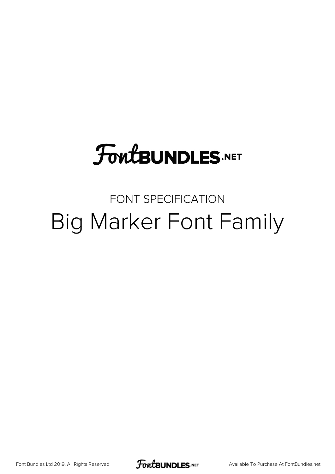#### **FoutBUNDLES.NET**

#### FONT SPECIFICATION Big Marker Font Family

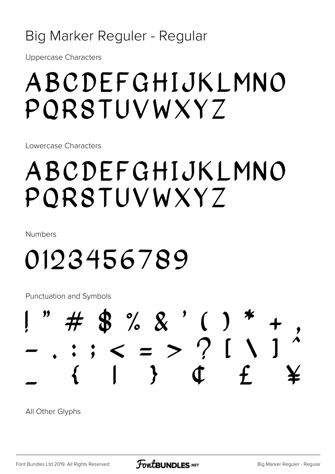#### Big Marker Reguler - Regular

**Uppercase Characters** 

#### ABCDEFGHIJKLMNO PORSTUVWXYZ

Lowercase Characters

### ABCDEFGHIJKLMNO PORSTUVWXY7

**Numbers** 

## 0123456789

Punctuation and Symbols

## $# 8 % 8' ( )$ . : ; < = > ? [ \

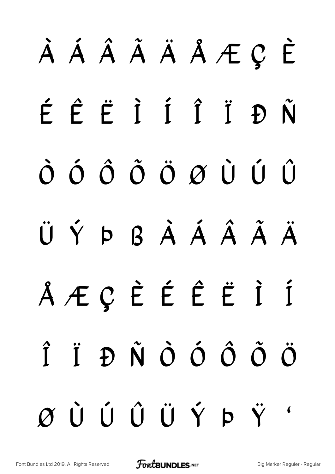# À Á Â Ã Ä Å Æ Ç È É Ê Ë Ì Í Î Ï Ð Ñ Ò Ó Ô Õ Ö Ø Ù Ú Û Ü Ý Þ ß à á â ã ä å æ ç è é ê ë ì í î ï ð ñ ò ó ô õ ö  $\emptyset$  Ù Ú Ű Ü Ý Þ Ÿ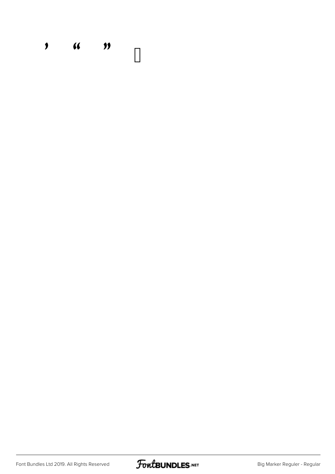| $\mathbf{\mathbf{y}}$ | $\frac{1}{2}$ | $\overline{\mathbf{y}}$ |  |
|-----------------------|---------------|-------------------------|--|
|                       |               |                         |  |

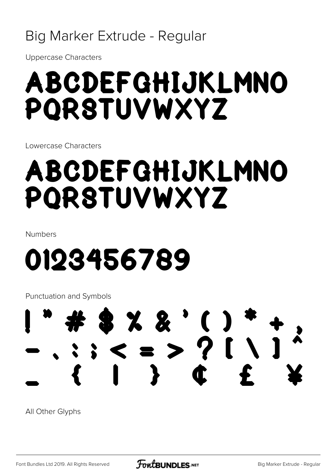#### Big Marker Extrude - Regular

**Uppercase Characters** 

## ABCDEFGHIJKLMNO PORSTUVWXYZ

Lowercase Characters

## ABCDEFGHIJKLMNO PORSTUVWXYZ

**Numbers** 

## 0123456789

Punctuation and Symbols

## $\bullet$  x & ' ( . : : < = > ? ! \

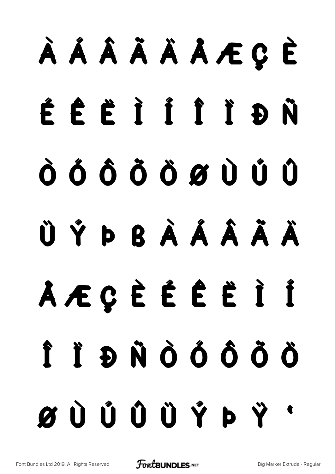# À Á Â Ã Ä Å Æ Ç È É Ê Ë Ì Í Î Ï Ð Ñ Ò Ó Ô Õ Ö Ø Ù Ú Û Ü Ý Þ ß à á â ã ä å æ ç è é ê ë ì í î ï ð ñ ò ó ô õ ö  $\alpha$  ù ű ű ű ű ý þ Ÿ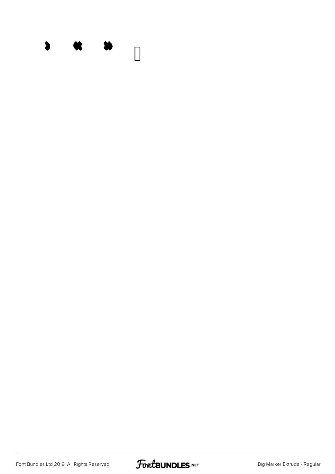

 $\bullet$   $\bullet$   $\bullet$ 

 $\overline{\Pi}$ 

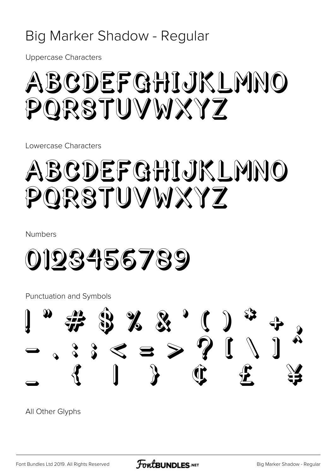#### Big Marker Shadow - Regular

**Uppercase Characters** 

#### BCDEFGHIJKLMNO PORSTUVWXYZ

Lowercase Characters

### BCDEFGHIJKLMNO PORSTUVWXYZ

**Numbers** 

0123456789

Punctuation and Symbols



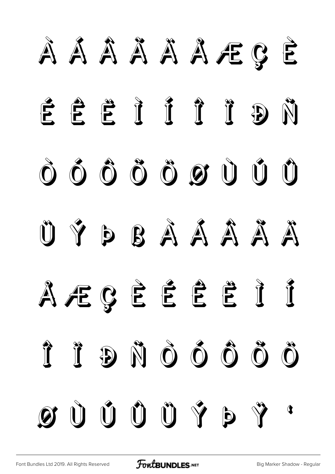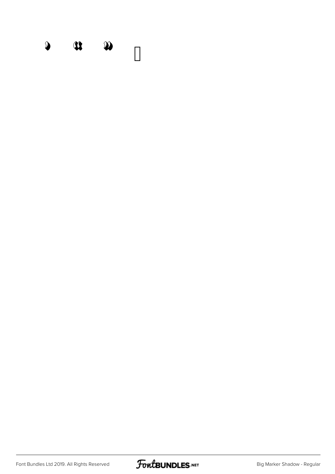| $\mathbf{\Omega}$ | $\alpha$ | $\mathbf{D}$ | $\Box$ |
|-------------------|----------|--------------|--------|
|                   |          |              |        |

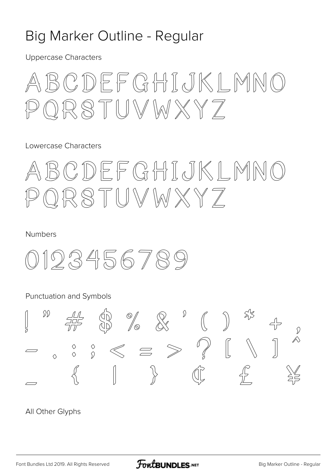#### Big Marker Outline - Regular

**Uppercase Characters** 



Lowercase Characters

ABCDEFGHIJKLMNO QRSTUVWXYZ

#### **Numbers**

 $103456789$ 

Punctuation and Symbols

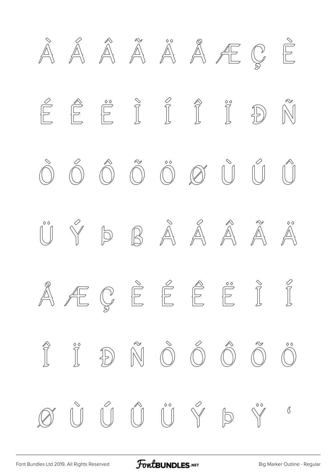